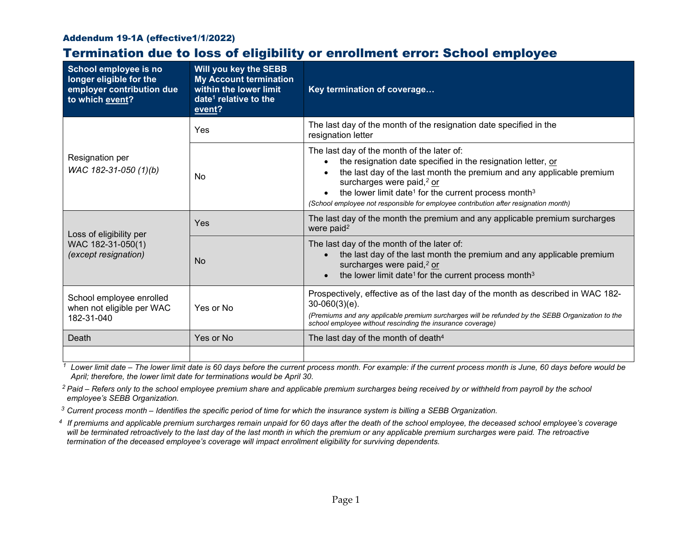## Addendum 19-1A (effective1/1/2022)

## Termination due to loss of eligibility or enrollment error: School employee

| School employee is no<br>longer eligible for the<br>employer contribution due<br>to which event? | <b>Will you key the SEBB</b><br><b>My Account termination</b><br>within the lower limit<br>date <sup>1</sup> relative to the<br>event? | Key termination of coverage                                                                                                                                                                                                                                                                                                                                                                                      |  |
|--------------------------------------------------------------------------------------------------|----------------------------------------------------------------------------------------------------------------------------------------|------------------------------------------------------------------------------------------------------------------------------------------------------------------------------------------------------------------------------------------------------------------------------------------------------------------------------------------------------------------------------------------------------------------|--|
| Resignation per<br>WAC 182-31-050 (1)(b)                                                         | Yes                                                                                                                                    | The last day of the month of the resignation date specified in the<br>resignation letter                                                                                                                                                                                                                                                                                                                         |  |
|                                                                                                  | No                                                                                                                                     | The last day of the month of the later of:<br>the resignation date specified in the resignation letter, or<br>the last day of the last month the premium and any applicable premium<br>surcharges were paid, <sup>2</sup> or<br>the lower limit date <sup>1</sup> for the current process month <sup>3</sup><br>$\bullet$<br>(School employee not responsible for employee contribution after resignation month) |  |
| Loss of eligibility per<br>WAC 182-31-050(1)<br>(except resignation)                             | Yes                                                                                                                                    | The last day of the month the premium and any applicable premium surcharges<br>were paid <sup>2</sup>                                                                                                                                                                                                                                                                                                            |  |
|                                                                                                  | <b>No</b>                                                                                                                              | The last day of the month of the later of:<br>the last day of the last month the premium and any applicable premium<br>surcharges were paid, <sup>2</sup> or<br>the lower limit date <sup>1</sup> for the current process month <sup>3</sup>                                                                                                                                                                     |  |
| School employee enrolled<br>when not eligible per WAC<br>182-31-040                              | Yes or No                                                                                                                              | Prospectively, effective as of the last day of the month as described in WAC 182-<br>$30-060(3)(e)$ .<br>(Premiums and any applicable premium surcharges will be refunded by the SEBB Organization to the<br>school employee without rescinding the insurance coverage)                                                                                                                                          |  |
| Death                                                                                            | Yes or No                                                                                                                              | The last day of the month of death <sup>4</sup>                                                                                                                                                                                                                                                                                                                                                                  |  |
|                                                                                                  |                                                                                                                                        |                                                                                                                                                                                                                                                                                                                                                                                                                  |  |

<sup>1</sup> Lower limit date – The lower limit date is 60 days before the current process month. For example: if the current process month is June, 60 days before would be *April; therefore, the lower limit date for terminations would be April 30.* 

*<sup>2</sup> Paid – Refers only to the school employee premium share and applicable premium surcharges being received by or withheld from payroll by the school employee's SEBB Organization.* 

*<sup>3</sup> Current process month – Identifies the specific period of time for which the insurance system is billing a SEBB Organization.* 

*4 If premiums and applicable premium surcharges remain unpaid for 60 days after the death of the school employee, the deceased school employee's coverage*  will be terminated retroactively to the last day of the last month in which the premium or any applicable premium surcharges were paid. The retroactive *termination of the deceased employee's coverage will impact enrollment eligibility for surviving dependents.*